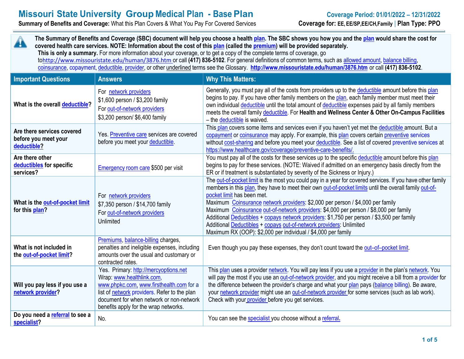## **Missouri State University Group Medical Plan - Base Plan Coverage Period: 01/01/2022 – 12/31/2022**

**Summary of Benefits and Coverage:** What this Plan Covers & What You Pay For Covered Services **Coverage for: EE, EE/SP,EE/CH,Family** | **Plan Type: PPO**

**The Summary of Benefits and Coverage (SBC) document will help you choose a healt[h plan.](https://www.healthcare.gov/sbc-glossary/#plan) The SBC shows you how you and the [plan](https://www.healthcare.gov/sbc-glossary/#plan) would share the cost for**   $\mathbf{A}$ **covered health care services. NOTE: Information about the cost of thi[s plan](https://www.healthcare.gov/sbc-glossary/#plan) (called th[e premium\)](https://www.healthcare.gov/sbc-glossary/#premium) will be provided separately. This is only a summary.** For more information about your coverage, or to get a copy of the complete terms of coverage, go to<http://www.missouristate.edu/human/3876.htm>or call **(417) 836-5102**. For general definitions of common terms, such as allowed [amount,](https://www.healthcare.gov/sbc-glossary/#allowed-amount) [balance](https://www.healthcare.gov/sbc-glossary/#balance-billing) billing, [coinsurance,](https://www.healthcare.gov/sbc-glossary/#coinsurance) [copayment,](https://www.healthcare.gov/sbc-glossary/#copayment) [deductible,](https://www.healthcare.gov/sbc-glossary/#deductible) [provider,](https://www.healthcare.gov/sbc-glossary/#provider) or other underlined terms see the Glossary. **<http://www.missouristate.edu/human/3876.htm>** or call **(417) 836-5102**.

| <b>Important Questions</b>                                        | <b>Answers</b>                                                                                                                                                                                                                                      | <b>Why This Matters:</b>                                                                                                                                                                                                                                                                                                                                                                                                                                                                                                                                                                                                                                             |
|-------------------------------------------------------------------|-----------------------------------------------------------------------------------------------------------------------------------------------------------------------------------------------------------------------------------------------------|----------------------------------------------------------------------------------------------------------------------------------------------------------------------------------------------------------------------------------------------------------------------------------------------------------------------------------------------------------------------------------------------------------------------------------------------------------------------------------------------------------------------------------------------------------------------------------------------------------------------------------------------------------------------|
| What is the overall deductible?                                   | For network providers<br>\$1,600 person / \$3,200 family<br>For out-of-network providers<br>\$3,200 person/ \$6,400 family                                                                                                                          | Generally, you must pay all of the costs from providers up to the deductible amount before this plan<br>begins to pay. If you have other family members on the plan, each family member must meet their<br>own individual deductible until the total amount of deductible expenses paid by all family members<br>meets the overall family deductible. For Health and Wellness Center & Other On-Campus Facilities<br>- the deductible is waived.                                                                                                                                                                                                                     |
| Are there services covered<br>before you meet your<br>deductible? | Yes. Preventive care services are covered<br>before you meet your deductible.                                                                                                                                                                       | This plan covers some items and services even if you haven't yet met the deductible amount. But a<br>copayment or coinsurance may apply. For example, this plan covers certain preventive services<br>without cost-sharing and before you meet your deductible. See a list of covered preventive services at<br>https://www.healthcare.gov/coverage/preventive-care-benefits/.                                                                                                                                                                                                                                                                                       |
| Are there other<br>deductibles for specific<br>services?          | Emergency room care \$500 per visit                                                                                                                                                                                                                 | You must pay all of the costs for these services up to the specific deductible amount before this plan<br>begins to pay for these services. (NOTE: Waived if admitted on an emergency basis directly from the<br>ER or if treatment is substantiated by severity of the Sickness or Injury.)                                                                                                                                                                                                                                                                                                                                                                         |
| What is the out-of-pocket limit<br>for this plan?                 | For network providers<br>\$7,350 person / \$14,700 family<br>For out-of-network providers<br>Unlimited                                                                                                                                              | The out-of-pocket limit is the most you could pay in a year for covered services. If you have other family<br>members in this plan, they have to meet their own out-of-pocket limits until the overall family out-of-<br>pocket limit has been met.<br>Maximum Coinsurance network providers: \$2,000 per person / \$4,000 per family<br>Maximum Coinsurance out-of-network providers: \$4,000 per person / \$8,000 per family<br>Additional Deductibles + copays network providers: \$1,750 per person / \$3,500 per family<br>Additional Deductibles + copays out-of-network providers: Unlimited<br>Maximum RX (OOP): \$2,000 per individual / \$4,000 per family |
| What is not included in<br>the out-of-pocket limit?               | Premiums, balance-billing charges,<br>penalties and ineligible expenses, including<br>amounts over the usual and customary or<br>contracted rates.                                                                                                  | Even though you pay these expenses, they don't count toward the out-of-pocket limit.                                                                                                                                                                                                                                                                                                                                                                                                                                                                                                                                                                                 |
| Will you pay less if you use a<br>network provider?               | Yes. Primary: http://mercyoptions.net<br>Wrap: www.healthlink.com,<br>www.phpkc.com, www.firsthealth.com for a<br>list of network providers. Refer to the plan<br>document for when network or non-network<br>benefits apply for the wrap networks. | This plan uses a provider network. You will pay less if you use a provider in the plan's network. You<br>will pay the most if you use an out-of-network provider, and you might receive a bill from a provider for<br>the difference between the provider's charge and what your plan pays (balance billing). Be aware,<br>your network provider might use an out-of-network provider for some services (such as lab work).<br>Check with your provider before you get services.                                                                                                                                                                                     |
| Do you need a referral to see a<br>specialist?                    | No.                                                                                                                                                                                                                                                 | You can see the specialist you choose without a referral.                                                                                                                                                                                                                                                                                                                                                                                                                                                                                                                                                                                                            |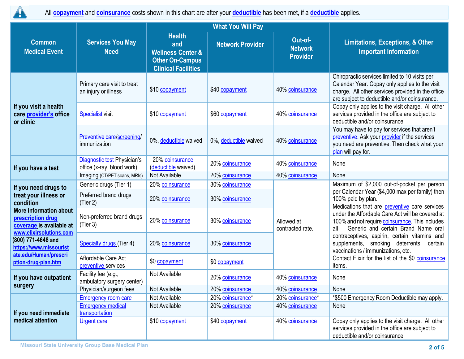

All **[copayment](https://www.healthcare.gov/sbc-glossary/#copayment)** and **[coinsurance](https://www.healthcare.gov/sbc-glossary/#coinsurance)** costs shown in this chart are after your **[deductible](https://www.healthcare.gov/sbc-glossary/#deductible)** has been met, if a **[deductible](https://www.healthcare.gov/sbc-glossary/#deductible)** applies.

|                                                                                                                      |                                                           |                                                                                                              | <b>What You Will Pay</b> |                                              |                                                                                                                                                                                                                                                                                                                                                                                                                                                               |  |
|----------------------------------------------------------------------------------------------------------------------|-----------------------------------------------------------|--------------------------------------------------------------------------------------------------------------|--------------------------|----------------------------------------------|---------------------------------------------------------------------------------------------------------------------------------------------------------------------------------------------------------------------------------------------------------------------------------------------------------------------------------------------------------------------------------------------------------------------------------------------------------------|--|
| <b>Common</b><br><b>Medical Event</b>                                                                                | <b>Services You May</b><br><b>Need</b>                    | <b>Health</b><br>and<br><b>Wellness Center &amp;</b><br><b>Other On-Campus</b><br><b>Clinical Facilities</b> | <b>Network Provider</b>  | Out-of-<br><b>Network</b><br><b>Provider</b> | <b>Limitations, Exceptions, &amp; Other</b><br><b>Important Information</b>                                                                                                                                                                                                                                                                                                                                                                                   |  |
| If you visit a health<br>care provider's office<br>or clinic                                                         | Primary care visit to treat<br>an injury or illness       | \$10 copayment                                                                                               | \$40 copayment           | 40% coinsurance                              | Chiropractic services limited to 10 visits per<br>Calendar Year. Copay only applies to the visit<br>charge. All other services provided in the office<br>are subject to deductible and/or coinsurance.                                                                                                                                                                                                                                                        |  |
|                                                                                                                      | <b>Specialist</b> visit                                   | \$10 copayment                                                                                               | \$60 copayment           | 40% coinsurance                              | Copay only applies to the visit charge. All other<br>services provided in the office are subject to<br>deductible and/or coinsurance.                                                                                                                                                                                                                                                                                                                         |  |
|                                                                                                                      | Preventive care/screening/<br>immunization                | 0%, deductible waived                                                                                        | 0%, deductible waived    | 40% coinsurance                              | You may have to pay for services that aren't<br>preventive. Ask your provider if the services<br>you need are preventive. Then check what your<br>plan will pay for.                                                                                                                                                                                                                                                                                          |  |
| If you have a test                                                                                                   | Diagnostic test Physician's<br>office (x-ray, blood work) | 20% coinsurance<br>(deductible waived)                                                                       | 20% coinsurance          | 40% coinsurance                              | None                                                                                                                                                                                                                                                                                                                                                                                                                                                          |  |
|                                                                                                                      | Imaging (CT/PET scans, MRIs)                              | Not Available                                                                                                | 20% coinsurance          | 40% coinsurance                              | None                                                                                                                                                                                                                                                                                                                                                                                                                                                          |  |
| If you need drugs to                                                                                                 | Generic drugs (Tier 1)                                    | 20% coinsurance                                                                                              | 30% coinsurance          |                                              | Maximum of \$2,000 out-of-pocket per person<br>per Calendar Year (\$4,000 max per family) then<br>100% paid by plan.<br>Medications that are preventive care services<br>under the Affordable Care Act will be covered at<br>100% and not require coinsurance. This includes<br>Generic and certain Brand Name oral<br>all<br>contraceptives, aspirin, certain vitamins and<br>supplements, smoking deterrents, certain<br>vaccinations / immunizations, etc. |  |
| treat your illness or<br>condition<br><b>More information about</b><br>prescription drug<br>coverage is available at | Preferred brand drugs<br>(Tier 2)                         | 20% coinsurance                                                                                              | 30% coinsurance          |                                              |                                                                                                                                                                                                                                                                                                                                                                                                                                                               |  |
|                                                                                                                      | Non-preferred brand drugs<br>(Tier 3)                     | 20% coinsurance                                                                                              | 30% coinsurance          | Allowed at<br>contracted rate.               |                                                                                                                                                                                                                                                                                                                                                                                                                                                               |  |
| www.elixirsolutions.com<br>(800) 771-4648 and<br>https://www.missourist                                              | <b>Specialty drugs (Tier 4)</b>                           | 20% coinsurance                                                                                              | 30% coinsurance          |                                              |                                                                                                                                                                                                                                                                                                                                                                                                                                                               |  |
| ate.edu/Human/prescri<br>ption-drug-plan.htm                                                                         | Affordable Care Act<br>preventive services                | \$0 copayment                                                                                                | \$0 copayment            |                                              | Contact Elixir for the list of the \$0 coinsurance<br>items.                                                                                                                                                                                                                                                                                                                                                                                                  |  |
| If you have outpatient                                                                                               | Facility fee (e.g.,<br>ambulatory surgery center)         | Not Available                                                                                                | 20% coinsurance          | 40% coinsurance                              | None                                                                                                                                                                                                                                                                                                                                                                                                                                                          |  |
| surgery                                                                                                              | Physician/surgeon fees                                    | Not Available                                                                                                | 20% coinsurance          | 40% coinsurance                              | None                                                                                                                                                                                                                                                                                                                                                                                                                                                          |  |
|                                                                                                                      | <b>Emergency room care</b>                                | Not Available                                                                                                | 20% coinsurance*         | 20% coinsurance*                             | *\$500 Emergency Room Deductible may apply.                                                                                                                                                                                                                                                                                                                                                                                                                   |  |
| If you need immediate<br>medical attention                                                                           | <b>Emergency medical</b><br>transportation                | Not Available                                                                                                | 20% coinsurance          | 40% coinsurance                              | None                                                                                                                                                                                                                                                                                                                                                                                                                                                          |  |
|                                                                                                                      | <b>Urgent care</b>                                        | \$10 copayment                                                                                               | \$40 copayment           | 40% coinsurance                              | Copay only applies to the visit charge. All other<br>services provided in the office are subject to<br>deductible and/or coinsurance.                                                                                                                                                                                                                                                                                                                         |  |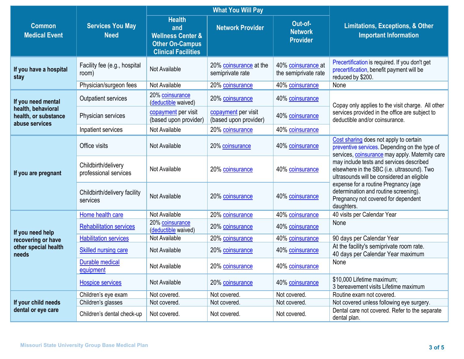|                                                              |                                              |                                                                                                              | <b>What You Will Pay</b>                     |                                              |                                                                                                                                                                                                                                                                             |  |
|--------------------------------------------------------------|----------------------------------------------|--------------------------------------------------------------------------------------------------------------|----------------------------------------------|----------------------------------------------|-----------------------------------------------------------------------------------------------------------------------------------------------------------------------------------------------------------------------------------------------------------------------------|--|
| <b>Common</b><br><b>Medical Event</b>                        | <b>Services You May</b><br><b>Need</b>       | <b>Health</b><br>and<br><b>Wellness Center &amp;</b><br><b>Other On-Campus</b><br><b>Clinical Facilities</b> | <b>Network Provider</b>                      | Out-of-<br><b>Network</b><br><b>Provider</b> | <b>Limitations, Exceptions, &amp; Other</b><br><b>Important Information</b>                                                                                                                                                                                                 |  |
| If you have a hospital<br>stay                               | Facility fee (e.g., hospital<br>room)        | Not Available                                                                                                | 20% coinsurance at the<br>semiprivate rate   | 40% coinsurance at<br>the semiprivate rate   | Precertification is required. If you don't get<br>precertification, benefit payment will be<br>reduced by \$200.                                                                                                                                                            |  |
|                                                              | Physician/surgeon fees                       | Not Available                                                                                                | 20% coinsurance                              | 40% coinsurance                              | None                                                                                                                                                                                                                                                                        |  |
| If you need mental                                           | Outpatient services                          | 20% coinsurance<br>(deductible waived)                                                                       | 20% coinsurance                              | 40% coinsurance                              | Copay only applies to the visit charge. All other                                                                                                                                                                                                                           |  |
| health, behavioral<br>health, or substance<br>abuse services | Physician services                           | copayment per visit<br>(based upon provider)                                                                 | copayment per visit<br>(based upon provider) | 40% coinsurance                              | services provided in the office are subject to<br>deductible and/or coinsurance.                                                                                                                                                                                            |  |
|                                                              | Inpatient services                           | Not Available                                                                                                | 20% coinsurance                              | 40% coinsurance                              |                                                                                                                                                                                                                                                                             |  |
| If you are pregnant                                          | Office visits                                | Not Available                                                                                                | 20% coinsurance                              | 40% coinsurance                              | Cost sharing does not apply to certain<br>preventive services. Depending on the type of<br>services, coinsurance may apply. Maternity care                                                                                                                                  |  |
|                                                              | Childbirth/delivery<br>professional services | Not Available                                                                                                | 20% coinsurance                              | 40% coinsurance                              | may include tests and services described<br>elsewhere in the SBC (i.e. ultrasound). Two<br>ultrasounds will be considered an eligible<br>expense for a routine Pregnancy (age<br>determination and routine screening).<br>Pregnancy not covered for dependent<br>daughters. |  |
|                                                              | Childbirth/delivery facility<br>services     | Not Available                                                                                                | 20% coinsurance                              | 40% coinsurance                              |                                                                                                                                                                                                                                                                             |  |
|                                                              | Home health care                             | Not Available                                                                                                | 20% coinsurance                              | 40% coinsurance                              | 40 visits per Calendar Year                                                                                                                                                                                                                                                 |  |
| If you need help                                             | <b>Rehabilitation services</b>               | 20% coinsurance<br>(deductible waived)                                                                       | 20% coinsurance                              | 40% coinsurance                              | None                                                                                                                                                                                                                                                                        |  |
| recovering or have                                           | <b>Habilitation services</b>                 | Not Available                                                                                                | 20% coinsurance                              | 40% coinsurance                              | 90 days per Calendar Year                                                                                                                                                                                                                                                   |  |
| other special health<br>needs                                | Skilled nursing care                         | Not Available                                                                                                | 20% coinsurance                              | 40% coinsurance                              | At the facility's semiprivate room rate.<br>40 days per Calendar Year maximum                                                                                                                                                                                               |  |
|                                                              | <b>Durable medical</b><br>equipment          | Not Available                                                                                                | 20% coinsurance                              | 40% coinsurance                              | None                                                                                                                                                                                                                                                                        |  |
|                                                              | <b>Hospice services</b>                      | Not Available                                                                                                | 20% coinsurance                              | 40% coinsurance                              | \$10,000 Lifetime maximum;<br>3 bereavement visits Lifetime maximum                                                                                                                                                                                                         |  |
|                                                              | Children's eye exam                          | Not covered.                                                                                                 | Not covered.                                 | Not covered.                                 | Routine exam not covered.                                                                                                                                                                                                                                                   |  |
| If your child needs                                          | Children's glasses                           | Not covered.                                                                                                 | Not covered.                                 | Not covered.                                 | Not covered unless following eye surgery.                                                                                                                                                                                                                                   |  |
| dental or eye care                                           | Children's dental check-up                   | Not covered.                                                                                                 | Not covered.                                 | Not covered.                                 | Dental care not covered. Refer to the separate<br>dental plan.                                                                                                                                                                                                              |  |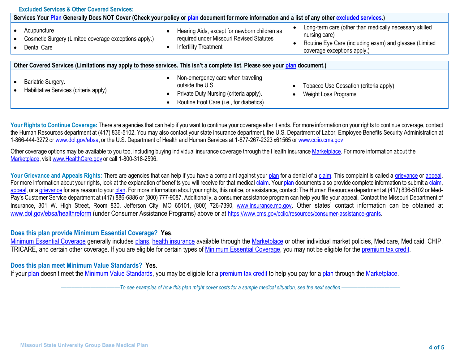| <b>Excluded Services &amp; Other Covered Services:</b>                                                                                           |                                                                                                                                                                      |                                                                                                                                                                  |  |  |  |  |
|--------------------------------------------------------------------------------------------------------------------------------------------------|----------------------------------------------------------------------------------------------------------------------------------------------------------------------|------------------------------------------------------------------------------------------------------------------------------------------------------------------|--|--|--|--|
| Services Your Plan Generally Does NOT Cover (Check your policy or plan document for more information and a list of any other excluded services.) |                                                                                                                                                                      |                                                                                                                                                                  |  |  |  |  |
| Acupuncture<br>Cosmetic Surgery (Limited coverage exceptions apply.)<br>Dental Care                                                              | Hearing Aids, except for newborn children as<br>required under Missouri Revised Statutes<br>Infertility Treatment<br>$\bullet$                                       | Long-term care (other than medically necessary skilled<br>nursing care)<br>Routine Eye Care (including exam) and glasses (Limited<br>coverage exceptions apply.) |  |  |  |  |
| Other Covered Services (Limitations may apply to these services. This isn't a complete list. Please see your plan document.)                     |                                                                                                                                                                      |                                                                                                                                                                  |  |  |  |  |
| Bariatric Surgery.<br>Habilitative Services (criteria apply)                                                                                     | Non-emergency care when traveling<br>$\bullet$<br>outside the U.S.<br>Private Duty Nursing (criteria apply).<br>$\bullet$<br>Routine Foot Care (i.e., for diabetics) | Tobacco Use Cessation (criteria apply).<br><b>Weight Loss Programs</b>                                                                                           |  |  |  |  |

Your Rights to Continue Coverage: There are agencies that can help if you want to continue your coverage after it ends. For more information on your rights to continue coverage, contact the Human Resources department at (417) 836-5102. You may also contact your state insurance department, the U.S. Department of Labor, Employee Benefits Security Administration at 1-866-444-3272 or [www.dol.gov/ebsa,](http://www.dol.gov/ebsa) or the U.S. Department of Health and Human Services at 1-877-267-2323 x61565 or [www.cciio.cms.gov](http://www.cciio.cms.gov/)

Other coverage options may be available to you too, including buying individual insurance coverage through the Health Insurance [Marketplace.](https://www.healthcare.gov/sbc-glossary/#marketplace) For more information about the [Marketplace,](https://www.healthcare.gov/sbc-glossary/#marketplace) visit [www.HealthCare.gov](http://www.healthcare.gov/) or call 1-800-318-2596.

Your Grievance and Appeals Rights: There are agencies that can help if you have a complaint against your [plan](https://www.healthcare.gov/sbc-glossary/#plan) for a denial of a [claim.](https://www.healthcare.gov/sbc-glossary/#claim) This complaint is called a [grievance](https://www.healthcare.gov/sbc-glossary/#grievance) or [appeal.](https://www.healthcare.gov/sbc-glossary/#appeal) For more information about your rights, look at the explanation of benefits you will receive for that medical [claim.](https://www.healthcare.gov/sbc-glossary/#claim) Your [plan](https://www.healthcare.gov/sbc-glossary/#plan) documents also provide complete information to submit a [claim,](https://www.healthcare.gov/sbc-glossary/#claim) [appeal,](https://www.healthcare.gov/sbc-glossary/#appeal) or a [grievance](https://www.healthcare.gov/sbc-glossary/#grievance) for any reason to your [plan.](https://www.healthcare.gov/sbc-glossary/#plan) For more information about your rights, this notice, or assistance, contact: The Human Resources department at (417) 836-5102 or Med-Pay's Customer Service department at (417) 886-6886 or (800) 777-9087. Additionally, a consumer assistance program can help you file your appeal. Contact the Missouri Department of Insurance, 301 W. High Street, Room 830, Jefferson City, MO 65101, (800) 726-7390, [www.insurance.mo.gov.](http://www.insurance.mo.gov/) Other states' contact information can be obtained at [www.dol.gov/ebsa/healthreform](http://www.dol.gov/ebsa/healthreform) (under Consumer Assistance Programs) above or at https://www.cms.gov/ccijo/resources/consumer-assistance-grants.

## **Does this plan provide Minimum Essential Coverage? Yes**.

[Minimum Essential Coverage](https://www.healthcare.gov/sbc-glossary/#minimum-essential-coverage) generally includes [plans,](https://www.healthcare.gov/sbc-glossary/#plan) [health insurance](https://www.healthcare.gov/sbc-glossary/#health-insurance) available through the [Marketplace](https://www.healthcare.gov/sbc-glossary/#marketplace) or other individual market policies, Medicare, Medicaid, CHIP, TRICARE, and certain other coverage. If you are eligible for certain types of [Minimum Essential Coverage,](https://www.healthcare.gov/sbc-glossary/#minimum-essential-coverage) you may not be eligible for the [premium tax credit.](https://www.healthcare.gov/sbc-glossary/#premium-tax-credits)

## **Does this plan meet Minimum Value Standards? Yes**.

If your [plan](https://www.healthcare.gov/sbc-glossary/#plan) doesn't meet the [Minimum Value Standards,](https://www.healthcare.gov/sbc-glossary/#minimum-value-standard) you may be eligible for a [premium tax credit](https://www.healthcare.gov/sbc-glossary/#premium-tax-credits) to help you pay for a [plan](https://www.healthcare.gov/sbc-glossary/#plan) through the [Marketplace.](https://www.healthcare.gov/sbc-glossary/#marketplace)

––––––––––––––––––––––*To see examples of how this plan might cover costs for a sample medical situation, see the next section.–––––––––––*–––––––––––